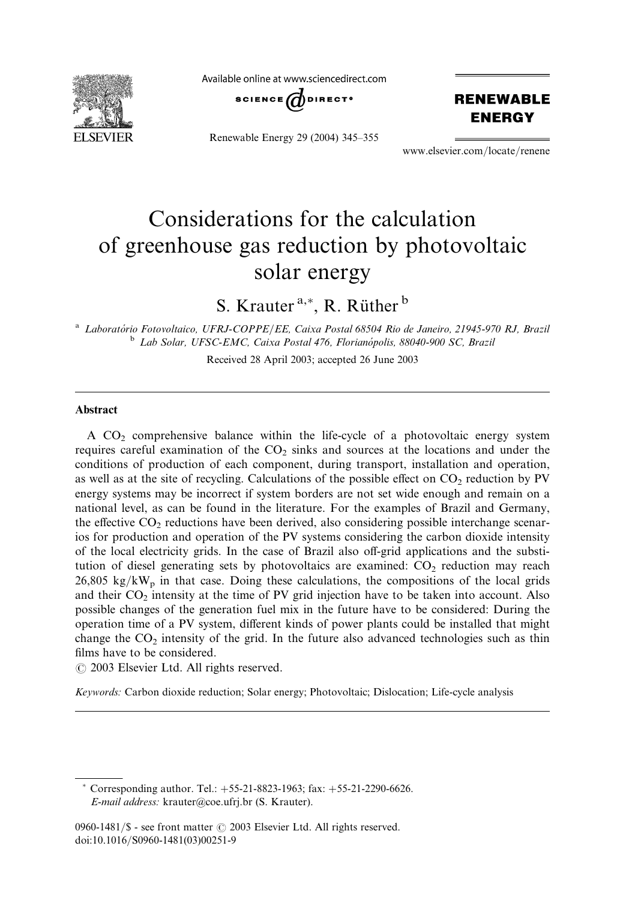

Available online at www.sciencedirect.com



Renewable Energy 29 (2004) 345–355

**RENEWABLE ENERGY** 

www.elsevier.com/locate/renene

# Considerations for the calculation of greenhouse gas reduction by photovoltaic solar energy

S. Krauter<sup>a,\*</sup>, R. Rüther<sup>b</sup>

<sup>a</sup> Laboratório Fotovoltaico, UFRJ-COPPE/EE, Caixa Postal 68504 Rio de Janeiro, 21945-970 RJ, Brazil <sup>b</sup> Lab Solar, UFSC-EMC, Caixa Postal 476, Florianópolis, 88040-900 SC, Brazil

Received 28 April 2003; accepted 26 June 2003

#### Abstract

A CO2 comprehensive balance within the life-cycle of a photovoltaic energy system requires careful examination of the  $CO<sub>2</sub>$  sinks and sources at the locations and under the conditions of production of each component, during transport, installation and operation, as well as at the site of recycling. Calculations of the possible effect on  $CO<sub>2</sub>$  reduction by PV energy systems may be incorrect if system borders are not set wide enough and remain on a national level, as can be found in the literature. For the examples of Brazil and Germany, the effective  $CO<sub>2</sub>$  reductions have been derived, also considering possible interchange scenarios for production and operation of the PV systems considering the carbon dioxide intensity of the local electricity grids. In the case of Brazil also off-grid applications and the substitution of diesel generating sets by photovoltaics are examined:  $CO<sub>2</sub>$  reduction may reach  $26,805 \text{ kg/kW}_p$  in that case. Doing these calculations, the compositions of the local grids and their  $CO<sub>2</sub>$  intensity at the time of PV grid injection have to be taken into account. Also possible changes of the generation fuel mix in the future have to be considered: During the operation time of a PV system, different kinds of power plants could be installed that might change the  $CO<sub>2</sub>$  intensity of the grid. In the future also advanced technologies such as thin films have to be considered.

 $\odot$  2003 Elsevier Ltd. All rights reserved.

Keywords: Carbon dioxide reduction; Solar energy; Photovoltaic; Dislocation; Life-cycle analysis

<sup>\*</sup> Corresponding author. Tel.:  $+55-21-8823-1963$ ; fax:  $+55-21-2290-6626$ . E-mail address: krauter@coe.ufrj.br (S. Krauter).

<sup>0960-1481/</sup> $\$  - see front matter  $\odot$  2003 Elsevier Ltd. All rights reserved. doi:10.1016/S0960-1481(03)00251-9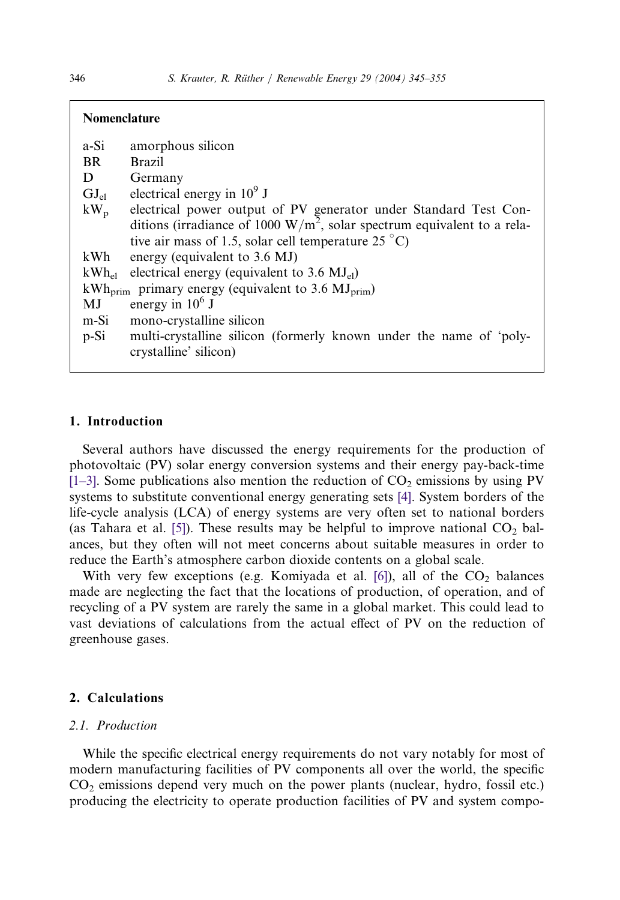| <b>Nomenclature</b> |                                                                                             |
|---------------------|---------------------------------------------------------------------------------------------|
| a-Si                | amorphous silicon                                                                           |
| <b>BR</b>           | <b>Brazil</b>                                                                               |
| D                   | Germany                                                                                     |
| $GJ_{el}$           | electrical energy in $10^9$ J                                                               |
| $kW_p$              | electrical power output of PV generator under Standard Test Con-                            |
|                     | ditions (irradiance of 1000 $W/m^2$ , solar spectrum equivalent to a rela-                  |
|                     | tive air mass of 1.5, solar cell temperature 25 $^{\circ}$ C)                               |
| kWh.                | energy (equivalent to 3.6 MJ)                                                               |
| $kWh_{el}$          | electrical energy (equivalent to $3.6 \text{ MJ}_{el}$ )                                    |
|                     | $kWh_{\text{prim}}$ primary energy (equivalent to 3.6 MJ $_{\text{prim}}$ )                 |
| MJ                  | energy in $10^6$ J                                                                          |
| m-Si                | mono-crystalline silicon                                                                    |
| $p-Si$              | multi-crystalline silicon (formerly known under the name of 'poly-<br>crystalline' silicon) |

### 1. Introduction

Several authors have discussed the energy requirements for the production of photovoltaic (PV) solar energy conversion systems and their energy pay-back-time  $[1–3]$ . Some publications also mention the reduction of  $CO<sub>2</sub>$  emissions by using PV systems to substitute conventional energy generating sets [\[4\].](#page--1-0) System borders of the life-cycle analysis (LCA) of energy systems are very often set to national borders (as Tahara et al. [\[5\]](#page--1-0)). These results may be helpful to improve national  $CO<sub>2</sub>$  balances, but they often will not meet concerns about suitable measures in order to reduce the Earth's atmosphere carbon dioxide contents on a global scale.

With very few exceptions (e.g. Komiyada et al. [\[6\]\)](#page--1-0), all of the  $CO<sub>2</sub>$  balances made are neglecting the fact that the locations of production, of operation, and of recycling of a PV system are rarely the same in a global market. This could lead to vast deviations of calculations from the actual effect of PV on the reduction of greenhouse gases.

## 2. Calculations

### 2.1. Production

While the specific electrical energy requirements do not vary notably for most of modern manufacturing facilities of PV components all over the world, the specific  $CO<sub>2</sub>$  emissions depend very much on the power plants (nuclear, hydro, fossil etc.) producing the electricity to operate production facilities of PV and system compo-